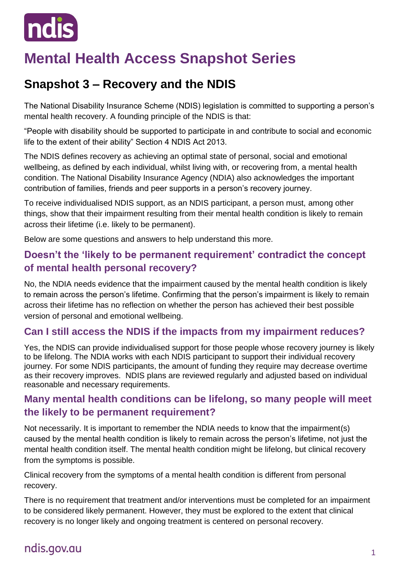

# **Mental Health Access Snapshot Series**

# **Snapshot 3 – Recovery and the NDIS**

The National Disability Insurance Scheme (NDIS) legislation is committed to supporting a person's mental health recovery. A founding principle of the NDIS is that:

"People with disability should be supported to participate in and contribute to social and economic life to the extent of their ability" Section 4 NDIS Act 2013.

The NDIS defines recovery as achieving an optimal state of personal, social and emotional wellbeing, as defined by each individual, whilst living with, or recovering from, a mental health condition. The National Disability Insurance Agency (NDIA) also acknowledges the important contribution of families, friends and peer supports in a person's recovery journey.

To receive individualised NDIS support, as an NDIS participant, a person must, among other things, show that their impairment resulting from their mental health condition is likely to remain across their lifetime (i.e. likely to be permanent).

Below are some questions and answers to help understand this more.

#### **Doesn't the 'likely to be permanent requirement' contradict the concept of mental health personal recovery?**

No, the NDIA needs evidence that the impairment caused by the mental health condition is likely to remain across the person's lifetime. Confirming that the person's impairment is likely to remain across their lifetime has no reflection on whether the person has achieved their best possible version of personal and emotional wellbeing.

### **Can I still access the NDIS if the impacts from my impairment reduces?**

Yes, the NDIS can provide individualised support for those people whose recovery journey is likely to be lifelong. The NDIA works with each NDIS participant to support their individual recovery journey. For some NDIS participants, the amount of funding they require may decrease overtime as their recovery improves. NDIS plans are reviewed regularly and adjusted based on individual reasonable and necessary requirements.

#### **Many mental health conditions can be lifelong, so many people will meet the likely to be permanent requirement?**

Not necessarily. It is important to remember the NDIA needs to know that the impairment(s) caused by the mental health condition is likely to remain across the person's lifetime, not just the mental health condition itself. The mental health condition might be lifelong, but clinical recovery from the symptoms is possible.

Clinical recovery from the symptoms of a mental health condition is different from personal recovery.

There is no requirement that treatment and/or interventions must be completed for an impairment to be considered likely permanent. However, they must be explored to the extent that clinical recovery is no longer likely and ongoing treatment is centered on personal recovery.

# ndis.gov.au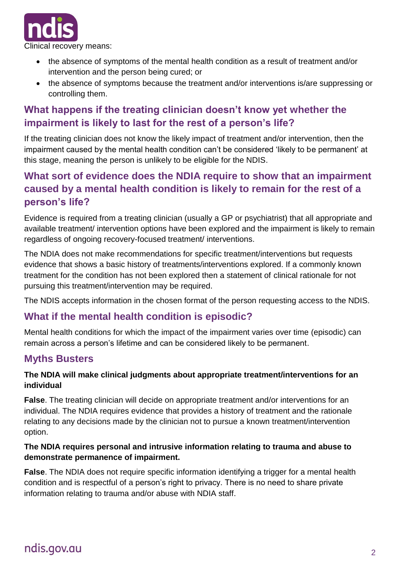

- the absence of symptoms of the mental health condition as a result of treatment and/or intervention and the person being cured; or
- the absence of symptoms because the treatment and/or interventions is/are suppressing or controlling them.

## **What happens if the treating clinician doesn't know yet whether the impairment is likely to last for the rest of a person's life?**

If the treating clinician does not know the likely impact of treatment and/or intervention, then the impairment caused by the mental health condition can't be considered 'likely to be permanent' at this stage, meaning the person is unlikely to be eligible for the NDIS.

## **What sort of evidence does the NDIA require to show that an impairment caused by a mental health condition is likely to remain for the rest of a person's life?**

Evidence is required from a treating clinician (usually a GP or psychiatrist) that all appropriate and available treatment/ intervention options have been explored and the impairment is likely to remain regardless of ongoing recovery-focused treatment/ interventions.

The NDIA does not make recommendations for specific treatment/interventions but requests evidence that shows a basic history of treatments/interventions explored. If a commonly known treatment for the condition has not been explored then a statement of clinical rationale for not pursuing this treatment/intervention may be required.

The NDIS accepts information in the chosen format of the person requesting access to the NDIS.

### **What if the mental health condition is episodic?**

Mental health conditions for which the impact of the impairment varies over time (episodic) can remain across a person's lifetime and can be considered likely to be permanent.

### **Myths Busters**

#### **The NDIA will make clinical judgments about appropriate treatment/interventions for an individual**

**False**. The treating clinician will decide on appropriate treatment and/or interventions for an individual. The NDIA requires evidence that provides a history of treatment and the rationale relating to any decisions made by the clinician not to pursue a known treatment/intervention option.

#### **The NDIA requires personal and intrusive information relating to trauma and abuse to demonstrate permanence of impairment.**

**False**. The NDIA does not require specific information identifying a trigger for a mental health condition and is respectful of a person's right to privacy. There is no need to share private information relating to trauma and/or abuse with NDIA staff.

# ndis.gov.au